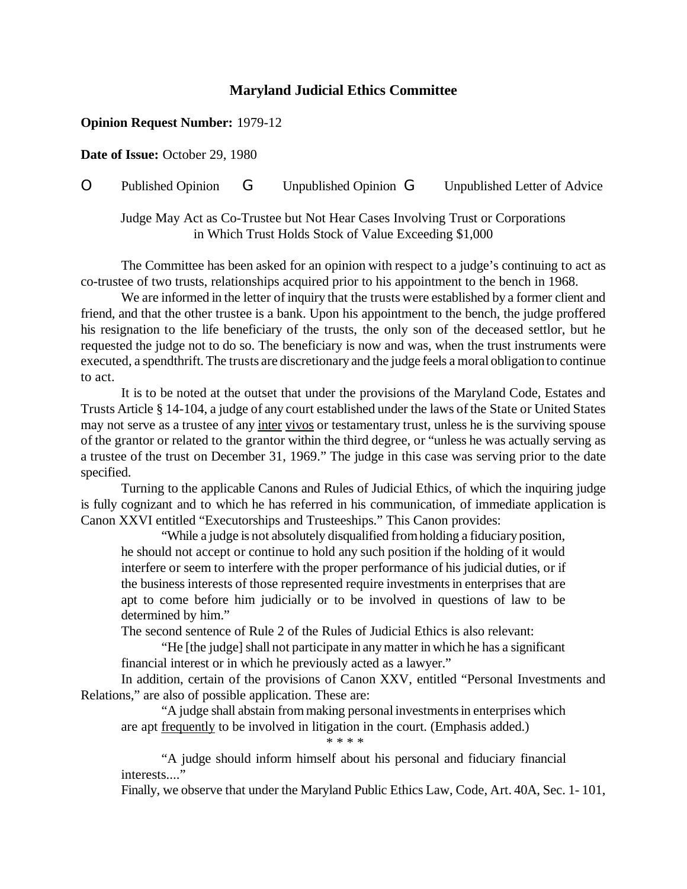## **Maryland Judicial Ethics Committee**

## **Opinion Request Number:** 1979-12

**Date of Issue:** October 29, 1980

O Published Opinion G Unpublished Opinion G Unpublished Letter of Advice

Judge May Act as Co-Trustee but Not Hear Cases Involving Trust or Corporations in Which Trust Holds Stock of Value Exceeding \$1,000

The Committee has been asked for an opinion with respect to a judge's continuing to act as co-trustee of two trusts, relationships acquired prior to his appointment to the bench in 1968.

We are informed in the letter of inquiry that the trusts were established by a former client and friend, and that the other trustee is a bank. Upon his appointment to the bench, the judge proffered his resignation to the life beneficiary of the trusts, the only son of the deceased settlor, but he requested the judge not to do so. The beneficiary is now and was, when the trust instruments were executed, a spendthrift. The trusts are discretionary and the judge feels a moral obligation to continue to act.

It is to be noted at the outset that under the provisions of the Maryland Code, Estates and Trusts Article § 14-104, a judge of any court established under the laws ofthe State or United States may not serve as a trustee of any inter vivos or testamentary trust, unless he is the surviving spouse of the grantor or related to the grantor within the third degree, or "unless he was actually serving as a trustee of the trust on December 31, 1969." The judge in this case was serving prior to the date specified.

Turning to the applicable Canons and Rules of Judicial Ethics, of which the inquiring judge is fully cognizant and to which he has referred in his communication, of immediate application is Canon XXVI entitled "Executorships and Trusteeships." This Canon provides:

"While a judge is not absolutely disqualified fromholding a fiduciary position, he should not accept or continue to hold any such position if the holding of it would interfere or seem to interfere with the proper performance of his judicial duties, or if the business interests of those represented require investmentsin enterprises that are apt to come before him judicially or to be involved in questions of law to be determined by him."

The second sentence of Rule 2 of the Rules of Judicial Ethics is also relevant:

"He [the judge] shall not participate in anymatter in which he has a significant financial interest or in which he previously acted as a lawyer."

In addition, certain of the provisions of Canon XXV, entitled "Personal Investments and Relations," are also of possible application. These are:

"A judge shall abstain frommaking personal investmentsin enterprises which are apt frequently to be involved in litigation in the court. (Emphasis added.)

\* \* \* \*

"A judge should inform himself about his personal and fiduciary financial interests...."

Finally, we observe that under the Maryland Public Ethics Law, Code, Art. 40A, Sec. 1- 101,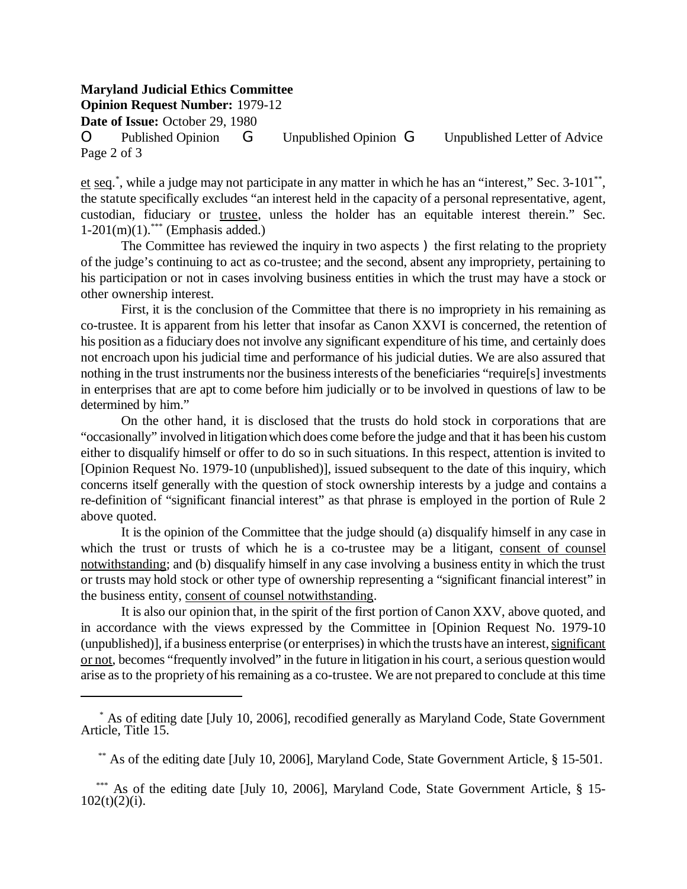## **Maryland Judicial Ethics Committee**

**Opinion Request Number:** 1979-12

**Date of Issue:** October 29, 1980

O Published Opinion G Unpublished Opinion G Unpublished Letter of Advice Page 2 of 3

et seq.<sup>\*</sup>, while a judge may not participate in any matter in which he has an "interest," Sec. 3-101<sup>\*\*</sup>, the statute specifically excludes "an interest held in the capacity of a personal representative, agent, custodian, fiduciary or trustee, unless the holder has an equitable interest therein." Sec.  $1-201(m)(1)$ .<sup>\*\*\*</sup> (Emphasis added.)

The Committee has reviewed the inquiry in two aspects ) the first relating to the propriety of the judge's continuing to act as co-trustee; and the second, absent any impropriety, pertaining to his participation or not in cases involving business entities in which the trust may have a stock or other ownership interest.

First, it is the conclusion of the Committee that there is no impropriety in his remaining as co-trustee. It is apparent from his letter that insofar as Canon XXVI is concerned, the retention of his position as a fiduciary does not involve any significant expenditure of his time, and certainly does not encroach upon his judicial time and performance of his judicial duties. We are also assured that nothing in the trust instruments nor the business interests of the beneficiaries "require[s] investments in enterprises that are apt to come before him judicially or to be involved in questions of law to be determined by him."

On the other hand, it is disclosed that the trusts do hold stock in corporations that are "occasionally" involved in litigationwhich does come before the judge and that it has been his custom either to disqualify himself or offer to do so in such situations. In this respect, attention is invited to [Opinion Request No. 1979-10 (unpublished)], issued subsequent to the date of this inquiry, which concerns itself generally with the question of stock ownership interests by a judge and contains a re-definition of "significant financial interest" as that phrase is employed in the portion of Rule 2 above quoted.

It is the opinion of the Committee that the judge should (a) disqualify himself in any case in which the trust or trusts of which he is a co-trustee may be a litigant, consent of counsel notwithstanding; and (b) disqualify himself in any case involving a business entity in which the trust or trusts may hold stock or other type of ownership representing a "significant financial interest" in the business entity, consent of counsel notwithstanding.

It is also our opinion that, in the spirit of the first portion of Canon XXV, above quoted, and in accordance with the views expressed by the Committee in [Opinion Request No. 1979-10 (unpublished)], if a business enterprise (or enterprises) in which the trusts have an interest, significant or not, becomes "frequently involved" in the future in litigation in his court, a serious questionwould arise as to the propriety of his remaining as a co-trustee. We are not prepared to conclude at this time

 \* As of editing date [July 10, 2006], recodified generally as Maryland Code, State Government Article, Title 15.

<sup>\*\*</sup> As of the editing date [July 10, 2006], Maryland Code, State Government Article, § 15-501.

<sup>\*\*\*</sup> As of the editing date [July 10, 2006], Maryland Code, State Government Article, § 15- $102(t)(2)(i)$ .